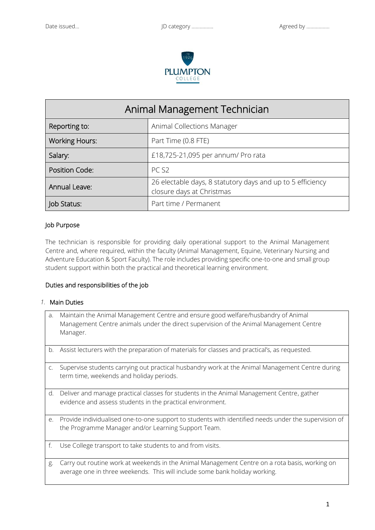

| Animal Management Technician |                                                                                         |
|------------------------------|-----------------------------------------------------------------------------------------|
| Reporting to:                | Animal Collections Manager                                                              |
| <b>Working Hours:</b>        | Part Time (0.8 FTE)                                                                     |
| Salary:                      | £18,725-21,095 per annum/ Pro rata                                                      |
| Position Code:               | PC <sub>S2</sub>                                                                        |
| Annual Leave:                | 26 electable days, 8 statutory days and up to 5 efficiency<br>closure days at Christmas |
| Job Status:                  | Part time / Permanent                                                                   |

### Job Purpose

The technician is responsible for providing daily operational support to the Animal Management Centre and, where required, within the faculty (Animal Management, Equine, Veterinary Nursing and Adventure Education & Sport Faculty). The role includes providing specific one-to-one and small group student support within both the practical and theoretical learning environment.

### Duties and responsibilities of the job

### *1.* Main Duties

| a.             | Maintain the Animal Management Centre and ensure good welfare/husbandry of Animal<br>Management Centre animals under the direct supervision of the Animal Management Centre<br>Manager. |
|----------------|-----------------------------------------------------------------------------------------------------------------------------------------------------------------------------------------|
|                | b. Assist lecturers with the preparation of materials for classes and practical's, as requested.                                                                                        |
| $\mathsf{C}$ . | Supervise students carrying out practical husbandry work at the Animal Management Centre during<br>term time, weekends and holiday periods.                                             |
| d.             | Deliver and manage practical classes for students in the Animal Management Centre, gather<br>evidence and assess students in the practical environment.                                 |
| e.             | Provide individualised one-to-one support to students with identified needs under the supervision of<br>the Programme Manager and/or Learning Support Team.                             |
| f.             | Use College transport to take students to and from visits.                                                                                                                              |
| g.             | Carry out routine work at weekends in the Animal Management Centre on a rota basis, working on<br>average one in three weekends. This will include some bank holiday working.           |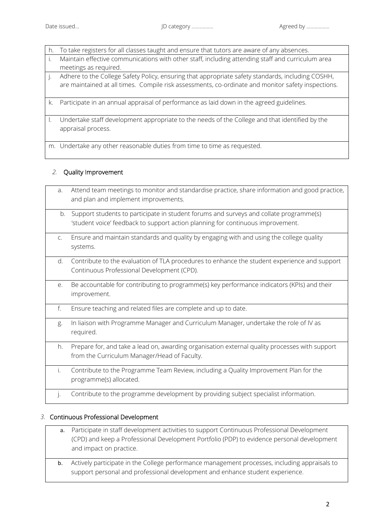| h. | To take registers for all classes taught and ensure that tutors are aware of any absences.                                                                                                              |
|----|---------------------------------------------------------------------------------------------------------------------------------------------------------------------------------------------------------|
|    | Maintain effective communications with other staff, including attending staff and curriculum area<br>meetings as required.                                                                              |
|    | Adhere to the College Safety Policy, ensuring that appropriate safety standards, including COSHH,<br>are maintained at all times. Compile risk assessments, co-ordinate and monitor safety inspections. |
| k. | Participate in an annual appraisal of performance as laid down in the agreed guidelines.                                                                                                                |
|    | Undertake staff development appropriate to the needs of the College and that identified by the<br>appraisal process.                                                                                    |

m. Undertake any other reasonable duties from time to time as requested.

## *2.* Quality Improvement

a. Attend team meetings to monitor and standardise practice, share information and good practice, and plan and implement improvements. b. Support students to participate in student forums and surveys and collate programme(s) 'student voice' feedback to support action planning for continuous improvement. c. Ensure and maintain standards and quality by engaging with and using the college quality systems. d. Contribute to the evaluation of TLA procedures to enhance the student experience and support Continuous Professional Development (CPD). e. Be accountable for contributing to programme(s) key performance indicators (KPIs) and their improvement. f. Ensure teaching and related files are complete and up to date. g. In liaison with Programme Manager and Curriculum Manager, undertake the role of IV as required. h. Prepare for, and take a lead on, awarding organisation external quality processes with support from the Curriculum Manager/Head of Faculty. i. Contribute to the Programme Team Review, including a Quality Improvement Plan for the programme(s) allocated. j. Contribute to the programme development by providing subject specialist information.

## *3.* Continuous Professional Development

- a. Participate in staff development activities to support Continuous Professional Development (CPD) and keep a Professional Development Portfolio (PDP) to evidence personal development and impact on practice.
- b. Actively participate in the College performance management processes, including appraisals to support personal and professional development and enhance student experience.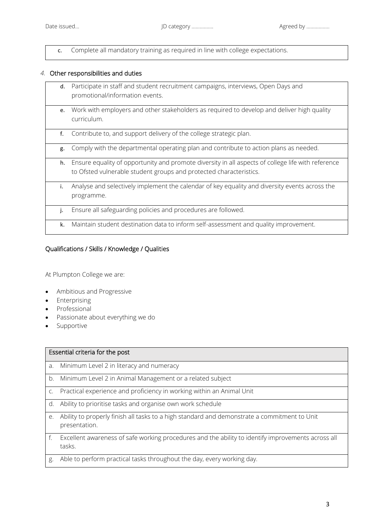c. Complete all mandatory training as required in line with college expectations.

# *4.* Other responsibilities and duties

| d. | Participate in staff and student recruitment campaigns, interviews, Open Days and<br>promotional/information events.                                                     |
|----|--------------------------------------------------------------------------------------------------------------------------------------------------------------------------|
| e. | Work with employers and other stakeholders as required to develop and deliver high quality<br>curriculum.                                                                |
| f. | Contribute to, and support delivery of the college strategic plan.                                                                                                       |
| g. | Comply with the departmental operating plan and contribute to action plans as needed.                                                                                    |
| h. | Ensure equality of opportunity and promote diversity in all aspects of college life with reference<br>to Ofsted vulnerable student groups and protected characteristics. |
| i. | Analyse and selectively implement the calendar of key equality and diversity events across the<br>programme.                                                             |
| j. | Ensure all safeguarding policies and procedures are followed.                                                                                                            |
| k. | Maintain student destination data to inform self-assessment and quality improvement.                                                                                     |

# Qualifications / Skills / Knowledge / Qualities

At Plumpton College we are:

- Ambitious and Progressive
- Enterprising
- Professional
- Passionate about everything we do
- Supportive

| Essential criteria for the post |                                                                                                               |  |
|---------------------------------|---------------------------------------------------------------------------------------------------------------|--|
| a.                              | Minimum Level 2 in literacy and numeracy                                                                      |  |
| b.                              | Minimum Level 2 in Animal Management or a related subject                                                     |  |
| C.                              | Practical experience and proficiency in working within an Animal Unit                                         |  |
| d.                              | Ability to prioritise tasks and organise own work schedule                                                    |  |
| e.                              | Ability to properly finish all tasks to a high standard and demonstrate a commitment to Unit<br>presentation. |  |
| f.                              | Excellent awareness of safe working procedures and the ability to identify improvements across all<br>tasks.  |  |
| g.                              | Able to perform practical tasks throughout the day, every working day.                                        |  |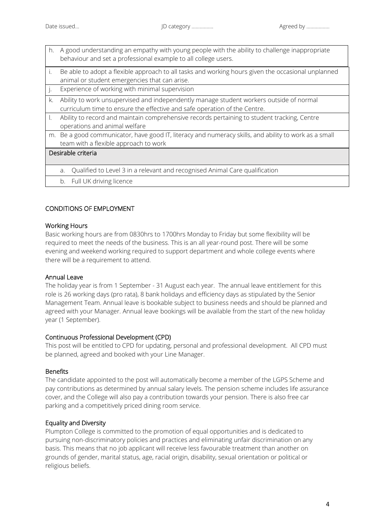- h. A good understanding an empathy with young people with the ability to challenge inappropriate behaviour and set a professional example to all college users. i. Be able to adopt a flexible approach to all tasks and working hours given the occasional unplanned animal or student emergencies that can arise. j. Experience of working with minimal supervision k. Ability to work unsupervised and independently manage student workers outside of normal curriculum time to ensure the effective and safe operation of the Centre. l. Ability to record and maintain comprehensive records pertaining to student tracking, Centre operations and animal welfare m. Be a good communicator, have good IT, literacy and numeracy skills, and ability to work as a small team with a flexible approach to work Desirable criteria a. Qualified to Level 3 in a relevant and recognised Animal Care qualification
	- b. Full UK driving licence

# CONDITIONS OF EMPLOYMENT

### Working Hours

Basic working hours are from 0830hrs to 1700hrs Monday to Friday but some flexibility will be required to meet the needs of the business. This is an all year-round post. There will be some evening and weekend working required to support department and whole college events where there will be a requirement to attend.

### Annual Leave

The holiday year is from 1 September - 31 August each year. The annual leave entitlement for this role is 26 working days (pro rata), 8 bank holidays and efficiency days as stipulated by the Senior Management Team. Annual leave is bookable subject to business needs and should be planned and agreed with your Manager. Annual leave bookings will be available from the start of the new holiday year (1 September).

### Continuous Professional Development (CPD)

This post will be entitled to CPD for updating, personal and professional development. All CPD must be planned, agreed and booked with your Line Manager.

### Benefits

The candidate appointed to the post will automatically become a member of the LGPS Scheme and pay contributions as determined by annual salary levels. The pension scheme includes life assurance cover, and the College will also pay a contribution towards your pension. There is also free car parking and a competitively priced dining room service.

## Equality and Diversity

Plumpton College is committed to the promotion of equal opportunities and is dedicated to pursuing non-discriminatory policies and practices and eliminating unfair discrimination on any basis. This means that no job applicant will receive less favourable treatment than another on grounds of gender, marital status, age, racial origin, disability, sexual orientation or political or religious beliefs.